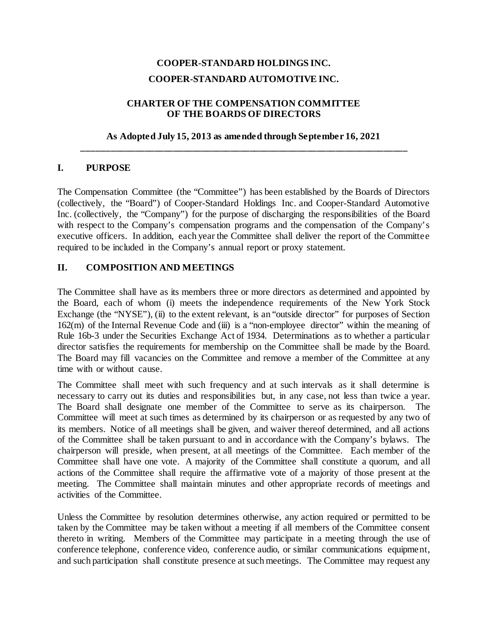# **COOPER-STANDARD HOLDINGS INC. COOPER-STANDARD AUTOMOTIVE INC.**

## **CHARTER OF THE COMPENSATION COMMITTEE OF THE BOARDS OF DIRECTORS**

#### **As Adopted July 15, 2013 as amended through September 16, 2021 \_\_\_\_\_\_\_\_\_\_\_\_\_\_\_\_\_\_\_\_\_\_\_\_\_\_\_\_\_\_\_\_\_\_\_\_\_\_\_\_\_\_\_\_\_\_\_\_\_\_\_\_\_\_\_\_\_\_\_\_\_\_\_\_\_\_\_\_**

## **I. PURPOSE**

The Compensation Committee (the "Committee") has been established by the Boards of Directors (collectively, the "Board") of Cooper-Standard Holdings Inc. and Cooper-Standard Automotive Inc. (collectively, the "Company") for the purpose of discharging the responsibilities of the Board with respect to the Company's compensation programs and the compensation of the Company's executive officers. In addition, each year the Committee shall deliver the report of the Committee required to be included in the Company's annual report or proxy statement.

## **II. COMPOSITION AND MEETINGS**

The Committee shall have as its members three or more directors as determined and appointed by the Board, each of whom (i) meets the independence requirements of the New York Stock Exchange (the "NYSE"), (ii) to the extent relevant, is an "outside director" for purposes of Section 162(m) of the Internal Revenue Code and (iii) is a "non-employee director" within the meaning of Rule 16b-3 under the Securities Exchange Act of 1934. Determinations as to whether a particular director satisfies the requirements for membership on the Committee shall be made by the Board. The Board may fill vacancies on the Committee and remove a member of the Committee at any time with or without cause.

The Committee shall meet with such frequency and at such intervals as it shall determine is necessary to carry out its duties and responsibilities but, in any case, not less than twice a year. The Board shall designate one member of the Committee to serve as its chairperson. The Committee will meet at such times as determined by its chairperson or as requested by any two of its members. Notice of all meetings shall be given, and waiver thereof determined, and all actions of the Committee shall be taken pursuant to and in accordance with the Company's bylaws. The chairperson will preside, when present, at all meetings of the Committee. Each member of the Committee shall have one vote. A majority of the Committee shall constitute a quorum, and all actions of the Committee shall require the affirmative vote of a majority of those present at the meeting. The Committee shall maintain minutes and other appropriate records of meetings and activities of the Committee.

Unless the Committee by resolution determines otherwise, any action required or permitted to be taken by the Committee may be taken without a meeting if all members of the Committee consent thereto in writing. Members of the Committee may participate in a meeting through the use of conference telephone, conference video, conference audio, or similar communications equipment, and such participation shall constitute presence at such meetings. The Committee may request any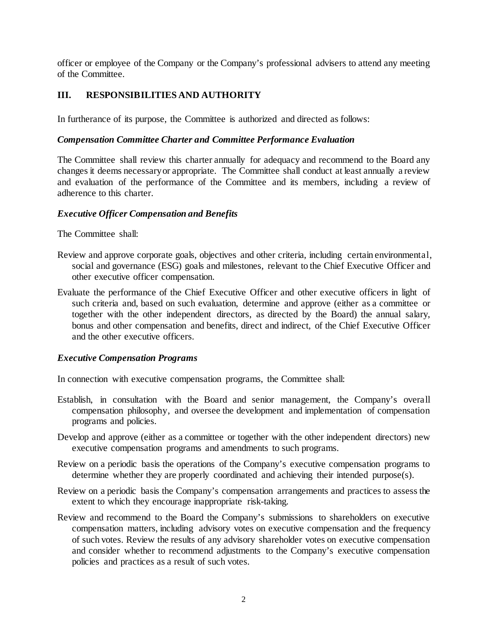officer or employee of the Company or the Company's professional advisers to attend any meeting of the Committee.

# **III. RESPONSIBILITIES AND AUTHORITY**

In furtherance of its purpose, the Committee is authorized and directed as follows:

## *Compensation Committee Charter and Committee Performance Evaluation*

The Committee shall review this charter annually for adequacy and recommend to the Board any changes it deems necessary or appropriate. The Committee shall conduct at least annually a review and evaluation of the performance of the Committee and its members, including a review of adherence to this charter.

#### *Executive Officer Compensation and Benefits*

The Committee shall:

- Review and approve corporate goals, objectives and other criteria, including certain environmental, social and governance (ESG) goals and milestones, relevant to the Chief Executive Officer and other executive officer compensation.
- Evaluate the performance of the Chief Executive Officer and other executive officers in light of such criteria and, based on such evaluation, determine and approve (either as a committee or together with the other independent directors, as directed by the Board) the annual salary, bonus and other compensation and benefits, direct and indirect, of the Chief Executive Officer and the other executive officers.

#### *Executive Compensation Programs*

In connection with executive compensation programs, the Committee shall:

- Establish, in consultation with the Board and senior management, the Company's overall compensation philosophy, and oversee the development and implementation of compensation programs and policies.
- Develop and approve (either as a committee or together with the other independent directors) new executive compensation programs and amendments to such programs.
- Review on a periodic basis the operations of the Company's executive compensation programs to determine whether they are properly coordinated and achieving their intended purpose(s).
- Review on a periodic basis the Company's compensation arrangements and practices to assess the extent to which they encourage inappropriate risk-taking.
- Review and recommend to the Board the Company's submissions to shareholders on executive compensation matters, including advisory votes on executive compensation and the frequency of such votes. Review the results of any advisory shareholder votes on executive compensation and consider whether to recommend adjustments to the Company's executive compensation policies and practices as a result of such votes.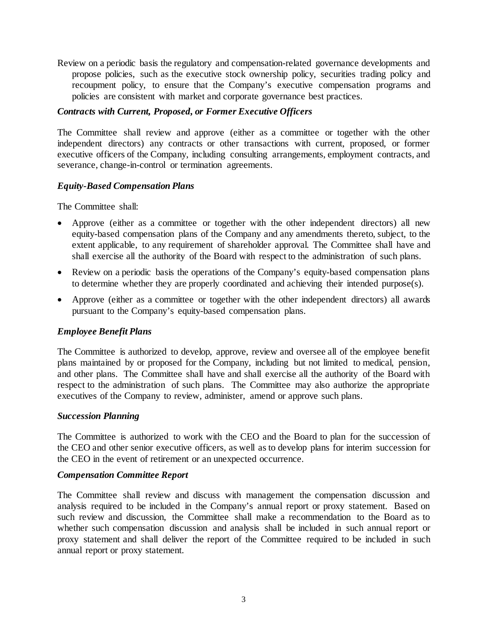Review on a periodic basis the regulatory and compensation-related governance developments and propose policies, such as the executive stock ownership policy, securities trading policy and recoupment policy, to ensure that the Company's executive compensation programs and policies are consistent with market and corporate governance best practices.

#### *Contracts with Current, Proposed, or Former Executive Officers*

The Committee shall review and approve (either as a committee or together with the other independent directors) any contracts or other transactions with current, proposed, or former executive officers of the Company, including consulting arrangements, employment contracts, and severance, change-in-control or termination agreements.

## *Equity-Based Compensation Plans*

The Committee shall:

- Approve (either as a committee or together with the other independent directors) all new equity-based compensation plans of the Company and any amendments thereto, subject, to the extent applicable, to any requirement of shareholder approval. The Committee shall have and shall exercise all the authority of the Board with respect to the administration of such plans.
- Review on a periodic basis the operations of the Company's equity-based compensation plans to determine whether they are properly coordinated and achieving their intended purpose(s).
- Approve (either as a committee or together with the other independent directors) all awards pursuant to the Company's equity-based compensation plans.

## *Employee Benefit Plans*

The Committee is authorized to develop, approve, review and oversee all of the employee benefit plans maintained by or proposed for the Company, including but not limited to medical, pension, and other plans. The Committee shall have and shall exercise all the authority of the Board with respect to the administration of such plans. The Committee may also authorize the appropriate executives of the Company to review, administer, amend or approve such plans.

#### *Succession Planning*

The Committee is authorized to work with the CEO and the Board to plan for the succession of the CEO and other senior executive officers, as well as to develop plans for interim succession for the CEO in the event of retirement or an unexpected occurrence.

#### *Compensation Committee Report*

The Committee shall review and discuss with management the compensation discussion and analysis required to be included in the Company's annual report or proxy statement. Based on such review and discussion, the Committee shall make a recommendation to the Board as to whether such compensation discussion and analysis shall be included in such annual report or proxy statement and shall deliver the report of the Committee required to be included in such annual report or proxy statement.